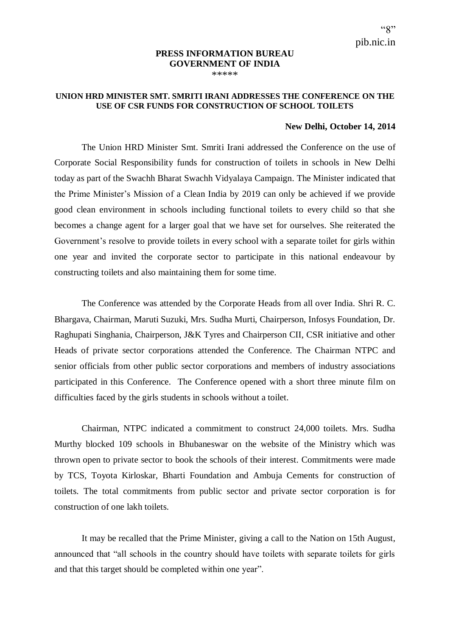## **PRESS INFORMATION BUREAU GOVERNMENT OF INDIA** \*\*\*\*\*

## **UNION HRD MINISTER SMT. SMRITI IRANI ADDRESSES THE CONFERENCE ON THE USE OF CSR FUNDS FOR CONSTRUCTION OF SCHOOL TOILETS**

## **New Delhi, October 14, 2014**

The Union HRD Minister Smt. Smriti Irani addressed the Conference on the use of Corporate Social Responsibility funds for construction of toilets in schools in New Delhi today as part of the Swachh Bharat Swachh Vidyalaya Campaign. The Minister indicated that the Prime Minister's Mission of a Clean India by 2019 can only be achieved if we provide good clean environment in schools including functional toilets to every child so that she becomes a change agent for a larger goal that we have set for ourselves. She reiterated the Government's resolve to provide toilets in every school with a separate toilet for girls within one year and invited the corporate sector to participate in this national endeavour by constructing toilets and also maintaining them for some time.

The Conference was attended by the Corporate Heads from all over India. Shri R. C. Bhargava, Chairman, Maruti Suzuki, Mrs. Sudha Murti, Chairperson, Infosys Foundation, Dr. Raghupati Singhania, Chairperson, J&K Tyres and Chairperson CII, CSR initiative and other Heads of private sector corporations attended the Conference. The Chairman NTPC and senior officials from other public sector corporations and members of industry associations participated in this Conference. The Conference opened with a short three minute film on difficulties faced by the girls students in schools without a toilet.

Chairman, NTPC indicated a commitment to construct 24,000 toilets. Mrs. Sudha Murthy blocked 109 schools in Bhubaneswar on the website of the Ministry which was thrown open to private sector to book the schools of their interest. Commitments were made by TCS, Toyota Kirloskar, Bharti Foundation and Ambuja Cements for construction of toilets. The total commitments from public sector and private sector corporation is for construction of one lakh toilets.

It may be recalled that the Prime Minister, giving a call to the Nation on 15th August, announced that "all schools in the country should have toilets with separate toilets for girls and that this target should be completed within one year".